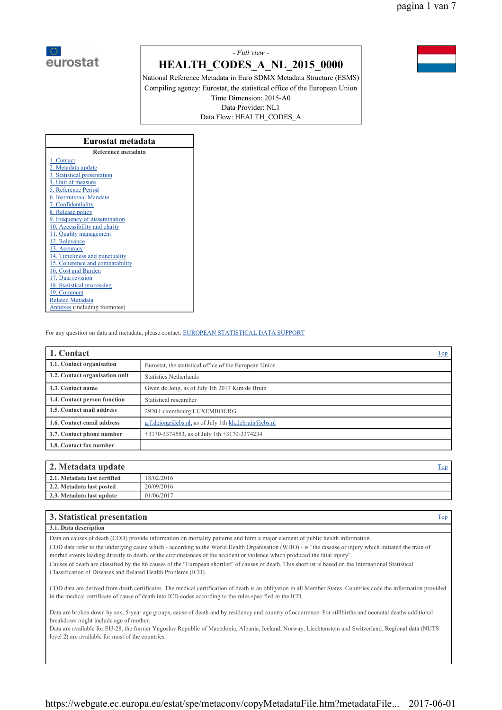

# *- Full view -*

# **HEALTH\_CODES\_A\_NL\_2015\_0000**

National Reference Metadata in Euro SDMX Metadata Structure (ESMS) Compiling agency: Eurostat, the statistical office of the European Union Time Dimension: 2015-A0 Data Provider: NL1 Data Flow: HEALTH\_CODES\_A

| Eurostat metadata               |  |  |  |  |
|---------------------------------|--|--|--|--|
| Reference metadata              |  |  |  |  |
| 1. Contact                      |  |  |  |  |
| 2. Metadata update              |  |  |  |  |
| 3. Statistical presentation     |  |  |  |  |
| 4. Unit of measure              |  |  |  |  |
| 5. Reference Period             |  |  |  |  |
| 6. Institutional Mandate        |  |  |  |  |
| 7. Confidentiality              |  |  |  |  |
| 8. Release policy               |  |  |  |  |
| 9. Frequency of dissemination   |  |  |  |  |
| 10. Accessibility and clarity   |  |  |  |  |
| 11. Quality management          |  |  |  |  |
| 12. Relevance                   |  |  |  |  |
| 13. Accuracy                    |  |  |  |  |
| 14. Timeliness and punctuality  |  |  |  |  |
| 15. Coherence and comparability |  |  |  |  |
| 16. Cost and Burden             |  |  |  |  |
| 17. Data revision               |  |  |  |  |
| 18. Statistical processing      |  |  |  |  |
| 19. Comment                     |  |  |  |  |
| <b>Related Metadata</b>         |  |  |  |  |
| Annexes (including footnotes)   |  |  |  |  |

For any question on data and metadata, please contact: EUROPEAN STATISTICAL DATA SUPPORT

| 1. Contact                     | <b>Top</b>                                             |  |  |
|--------------------------------|--------------------------------------------------------|--|--|
| 1.1. Contact organisation      | Eurostat, the statistical office of the European Union |  |  |
| 1.2. Contact organisation unit | <b>Statistics Netherlands</b>                          |  |  |
| 1.3. Contact name              | Gwen de Jong, as of July 1th 2017 Kim de Bruin         |  |  |
| 1.4. Contact person function   | Statistical researcher                                 |  |  |
| 1.5. Contact mail address      | 2920 Luxembourg LUXEMBOURG                             |  |  |
| 1.6. Contact email address     | gjf.dejong@cbs.nl, as of July 1th kh.debruin@cbs.nl    |  |  |
| 1.7. Contact phone number      | $+3170-3374553$ , as of July 1th $+3170-3374234$       |  |  |
| 1.8. Contact fax number        |                                                        |  |  |

| 2. Metadata update           | Fop        |  |
|------------------------------|------------|--|
| 2.1. Metadata last certified | 18/02/2016 |  |
| 2.2. Metadata last posted    | 20/09/2016 |  |
| 2.3. Metadata last undate    | 01/06/2017 |  |

| 3. Statistical presentation | l op |
|-----------------------------|------|
| 3.1. Data description       |      |

Data on causes of death (COD) provide information on mortality patterns and form a major element of public health information.

COD data refer to the underlying cause which - according to the World Health Organisation (WHO) - is "the disease or injury which initiated the train of morbid events leading directly to death, or the circumstances of the accident or violence which produced the fatal injury".

Causes of death are classified by the 86 causes of the "European shortlist" of causes of death. This shortlist is based on the International Statistical Classification of Diseases and Related Health Problems (ICD).

COD data are derived from death certificates. The medical certification of death is an obligation in all Member States. Countries code the information provided in the medical certificate of cause of death into ICD codes according to the rules specified in the ICD.

Data are broken down by sex, 5-year age groups, cause of death and by residency and country of occurrence. For stillbirths and neonatal deaths additional breakdows might include age of mother.

Data are available for EU-28, the former Yugoslav Republic of Macedonia, Albania, Iceland, Norway, Liechtenstein and Switzerland. Regional data (NUTS level 2) are available for most of the countries.

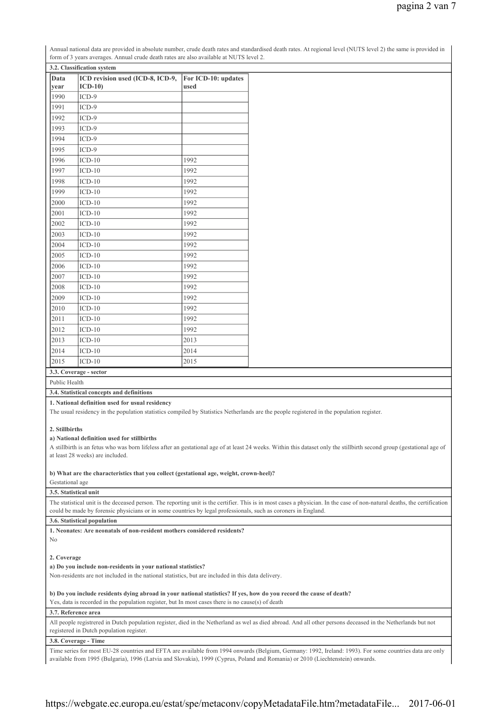| Annual national data are provided in absolute number, crude death rates and standardised death rates. At regional level (NUTS level 2) the same is provided in |
|----------------------------------------------------------------------------------------------------------------------------------------------------------------|
| form of 3 years averages. Annual crude death rates are also available at NUTS level 2.                                                                         |

| Data | ICD revision used (ICD-8, ICD-9, | For ICD-10: updates |
|------|----------------------------------|---------------------|
| year | $ICD-10$                         | used                |
| 1990 | $ICD-9$                          |                     |
| 1991 | $ICD-9$                          |                     |
| 1992 | $ICD-9$                          |                     |
| 1993 | $ICD-9$                          |                     |
| 1994 | $ICD-9$                          |                     |
| 1995 | $ICD-9$                          |                     |
| 1996 | $ICD-10$                         | 1992                |
| 1997 | $ICD-10$                         | 1992                |
| 1998 | $ICD-10$                         | 1992                |
| 1999 | $ICD-10$                         | 1992                |
| 2000 | $ICD-10$                         | 1992                |
| 2001 | $ICD-10$                         | 1992                |
| 2002 | $ICD-10$                         | 1992                |
| 2003 | $ICD-10$                         | 1992                |
| 2004 | $ICD-10$                         | 1992                |
| 2005 | $ICD-10$                         | 1992                |
| 2006 | $ICD-10$                         | 1992                |
| 2007 | $ICD-10$                         | 1992                |
| 2008 | $ICD-10$                         | 1992                |
| 2009 | $ICD-10$                         | 1992                |
| 2010 | $ICD-10$                         | 1992                |
| 2011 | $ICD-10$                         | 1992                |
| 2012 | $ICD-10$                         | 1992                |
| 2013 | $ICD-10$                         | 2013                |
| 2014 | $ICD-10$                         | 2014                |
| 2015 | $ICD-10$                         | 2015                |

# **3.3. Coverage - sector**

# Public Health

## **3.4. Statistical concepts and definitions**

#### **1. National definition used for usual residency**

The usual residency in the population statistics compiled by Statistics Netherlands are the people registered in the population register.

#### **2. Stillbirths**

#### **a) National definition used for stillbirths**

A stillbirth is an fetus who was born lifeless after an gestational age of at least 24 weeks. Within this dataset only the stillbirth second group (gestational age of at least 28 weeks) are included.

**b) What are the characteristics that you collect (gestational age, weight, crown-heel)?**

## Gestational age

#### **3.5. Statistical unit**

The statistical unit is the deceased person. The reporting unit is the certifier. This is in most cases a physician. In the case of non-natural deaths, the certification could be made by forensic physicians or in some countries by legal professionals, such as coroners in England.

## **3.6. Statistical population**

**1. Neonates: Are neonatals of non-resident mothers considered residents?**

# No

## **2. Coverage**

### **a) Do you include non-residents in your national statistics?**

Non-residents are not included in the national statistics, but are included in this data delivery.

### **b) Do you include residents dying abroad in your national statistics? If yes, how do you record the cause of death?**

Yes, data is recorded in the population register, but In most cases there is no cause(s) of death

### **3.7. Reference area**

All people registrered in Dutch population register, died in the Netherland as wel as died abroad. And all other persons deceased in the Netherlands but not registered in Dutch population register.

## **3.8. Coverage - Time**

Time series for most EU-28 countries and EFTA are available from 1994 onwards (Belgium, Germany: 1992, Ireland: 1993). For some countries data are only available from 1995 (Bulgaria), 1996 (Latvia and Slovakia), 1999 (Cyprus, Poland and Romania) or 2010 (Liechtenstein) onwards.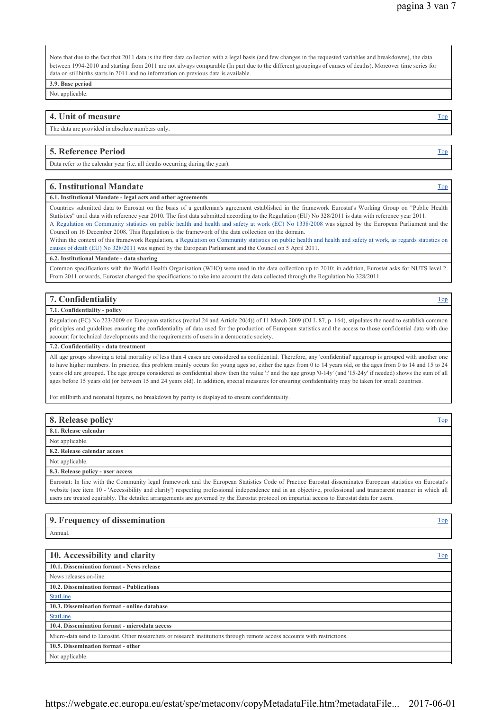Note that due to the fact that 2011 data is the first data collection with a legal basis (and few changes in the requested variables and breakdowns), the data between 1994-2010 and starting from 2011 are not always comparable (In part due to the different groupings of causes of deaths). Moreover time series for data on stillbirths starts in 2011 and no information on previous data is available.

**3.9. Base period**

Not applicable.

# **4. Unit of measure** The Top **Theory is a structure Top in the Top is a structure Top <b>Top** is a structure Top **Top**

The data are provided in absolute numbers only.

## **5. Reference Period** Top **Top**  Top **Top**  Top **Top**  Top **Top**  Top **Top**  Top **Top**  Top **Top**  Top **Top**  Top **Top**  Top **Top**  Top **Top**  Top **Top**  Top **Top**  Top **Top**  Top **Top**  Top **Top**  Top **Top**  Top **Top**  To

Data refer to the calendar year (i.e. all deaths occurring during the year).

#### **6. Institutional Mandate** Top

# **6.1. Institutional Mandate - legal acts and other agreements**

Countries submitted data to Eurostat on the basis of a gentleman's agreement established in the framework Eurostat's Working Group on "Public Health Statistics" until data with reference year 2010. The first data submitted according to the Regulation (EU) No 328/2011 is data with reference year 2011. A Regulation on Community statistics on public health and health and safety at work (EC) No 1338/2008 was signed by the European Parliament and the

Council on 16 December 2008. This Regulation is the framework of the data collection on the domain. Within the context of this framework Regulation, a Regulation on Community statistics on public health and health and safety at work, as regards statistics on

causes of death (EU) No 328/2011 was signed by the European Parliament and the Council on 5 April 2011.

#### **6.2. Institutional Mandate - data sharing**

Common specifications with the World Health Organisation (WHO) were used in the data collection up to 2010; in addition, Eurostat asks for NUTS level 2. From 2011 onwards, Eurostat changed the specifications to take into account the data collected through the Regulation No 328/2011.

# **7. Confidentiality** Top **The Confidentiality** Top **Top Top Top Top Top Top Top Top Top Top Top Top Top Top Top Top Top Top Top Top Top Top Top Top Top Top Top Top To**

## **7.1. Confidentiality - policy**

Regulation (EC) No 223/2009 on European statistics (recital 24 and Article 20(4)) of 11 March 2009 (OJ L 87, p. 164), stipulates the need to establish common principles and guidelines ensuring the confidentiality of data used for the production of European statistics and the access to those confidential data with due account for technical developments and the requirements of users in a democratic society.

#### **7.2. Confidentiality - data treatment**

All age groups showing a total mortality of less than 4 cases are considered as confidential. Therefore, any 'confidential' agegroup is grouped with another one to have higher numbers. In practice, this problem mainly occurs for young ages so, either the ages from 0 to 14 years old, or the ages from 0 to 14 and 15 to 24 years old are grouped. The age groups considered as confidential show then the value ':' and the age group '0-14y' (and '15-24y' if needed) shows the sum of all ages before 15 years old (or between 15 and 24 years old). In addition, special measures for ensuring confidentiality may be taken for small countries.

For stillbirth and neonatal figures, no breakdown by parity is displayed to ensure confidentiality.

| 8. Release policy                                                                                                                                         | Top |
|-----------------------------------------------------------------------------------------------------------------------------------------------------------|-----|
| 8.1. Release calendar                                                                                                                                     |     |
| Not applicable.                                                                                                                                           |     |
| 8.2. Release calendar access                                                                                                                              |     |
| Not applicable.                                                                                                                                           |     |
| 8.3. Release policy - user access                                                                                                                         |     |
| Eurostat: In line with the Community legal framework and the European Statistics Code of Practice Eurostat disseminates European statistics on Eurostat's |     |

Eurostat: In line with the Community legal framework and the European Statistics Code of Practice Eurostat disseminates European statistics on Eurostat's website (see item 10 - 'Accessibility and clarity') respecting professional independence and in an objective, professional and transparent manner in which all users are treated equitably. The detailed arrangements are governed by the Eurostat protocol on impartial access to Eurostat data for users.

# **9. Frequency of dissemination** Top

Annual.

| 10. Accessibility and clarity                                                                                             | <b>Top</b> |
|---------------------------------------------------------------------------------------------------------------------------|------------|
| 10.1. Dissemination format - News release                                                                                 |            |
| News releases on-line.                                                                                                    |            |
| 10.2. Dissemination format - Publications                                                                                 |            |
| StatLine                                                                                                                  |            |
| 10.3. Dissemination format - online database                                                                              |            |
| StatLine                                                                                                                  |            |
| 10.4. Dissemination format - microdata access                                                                             |            |
| Micro-data send to Eurostat. Other researchers or research institutions through remote access accounts with restrictions. |            |
| 10.5. Dissemination format - other                                                                                        |            |
| Not applicable.                                                                                                           |            |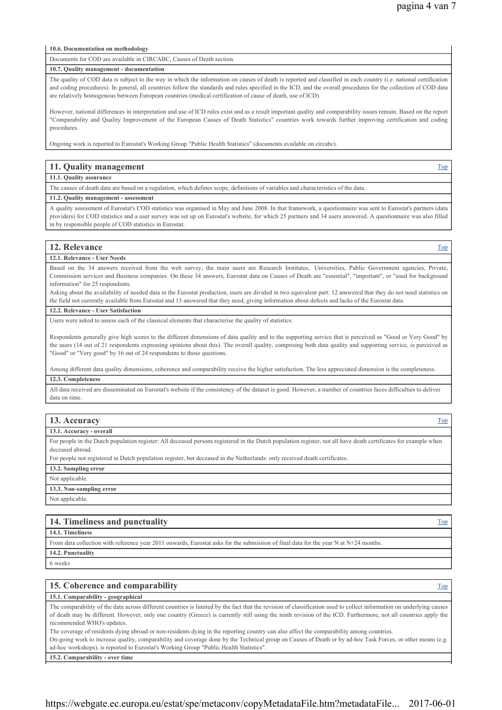#### **10.6. Documentation on methodology**

Documents for COD are available in CIRCABC, Causes of Death section.

#### **10.7. Quality management - documentation**

The quality of COD data is subject to the way in which the information on causes of death is reported and classified in each country (i.e. national certification and coding procedures). In general, all countries follow the standards and rules specified in the ICD, and the overall procedures for the collection of COD data are relatively homogenous between European countries (medical certification of cause of death, use of ICD).

However, national differences in interpretation and use of ICD rules exist and as a result important quality and comparability issues remain. Based on the report "Comparability and Quality Improvement of the European Causes of Death Statistics" countries work towards further improving certification and coding procedures.

Ongoing work is reported to Eurostat's Working Group "Public Health Statistics" (documents available on circabc).

#### **11. Quality management** Top

#### **11.1. Quality assurance**

The causes of death data are based on a regulation, which defines scope, definitions of variables and characteristics of the data.

#### **11.2. Quality management - assessment**

A quality assessment of Eurostat's COD statistics was organised in May and June 2008. In that framework, a questionnaire was sent to Eurostat's partners (data providers) for COD statistics and a user survey was set up on Eurostat's website, for which 25 partners and 34 users answered. A questionnaire was also filled in by responsible people of COD statistics in Eurostat.

# **12. Relevance** Top **12. Relevance** Top **12. Relevance** Top **12. Relevance** Top **12. Relevance** Top **12. Relevance**

#### **12.1. Relevance - User Needs**

Based on the 34 answers received from the web survey, the main users are Research Institutes. Universities, Public Government agencies, Private Commission services and Business companies. On these 34 answers, Eurostat data on Causes of Death are "essential", "important", or "used for background information" for 25 respondents.

Asking about the availability of needed data in the Eurostat production, users are divided in two equivalent part: 12 answered that they do not need statistics on the field not currently available from Eurostat and 13 answered that they need, giving information about defects and lacks of the Eurostat data.

#### **12.2. Relevance - User Satisfaction**

Users were asked to assess each of the classical elements that characterise the quality of statistics.

Respondents generally give high scores to the different dimensions of data quality and to the supporting service that is perceived as "Good or Very Good" by the users (14 out of 21 respondents expressing opinions about this). The overall quality, comprising both data quality and supporting service, is perceived as "Good" or "Very good" by 16 out of 24 respondents to those questions.

Among different data quality dimensions, coherence and comparability receive the higher satisfaction. The less appreciated dimension is the completeness. **12.3. Completeness**

All data received are disseminated on Eurostat's website if the consistency of the dataset is good. However, a number of countries faces difficulties to deliver data on time.

#### **13. Accuracy** Top **13. Accuracy** Top **13. Accuracy** Top **13. Accuracy** Top **13. Accuracy**

**13.1. Accuracy - overall**

For people in the Dutch population register: All deceased persons registered in the Dutch population register, not all have death certificates for example when deceased abroad.

For people not registered in Dutch population register, but deceased in the Netherlands: only received death certificates.

#### **13.2. Sampling error**

Not applicable.

# **13.3. Non-sampling error**

Not applicable.

| 14. Timeliness and punctuality                                                                                                         | Top |
|----------------------------------------------------------------------------------------------------------------------------------------|-----|
| 14.1. Timeliness                                                                                                                       |     |
| From data collection with reference year 2011 onwards, Eurostat asks for the submission of final data for the year N at $N+24$ months. |     |
| 14.2. Punctuality                                                                                                                      |     |
| 6 weeks                                                                                                                                |     |
|                                                                                                                                        |     |
| 15. Coherence and comparability                                                                                                        | Top |
| - オポ オーズトラン ション・コークサイト ション・ション・コーヒー エー・エー                                                                                              |     |

#### **15.1. Comparability - geographical**

The comparability of the data across different countries is limited by the fact that the revision of classification used to collect information on underlying causes of death may be different. However, only one country (Greece) is currently still using the ninth revision of the ICD. Furthermore, not all countries apply the recommended WHO's updates.

The coverage of residents dying abroad or non-residents dying in the reporting country can also affect the comparability among countries.

On-going work to increase quality, comparability and coverage done by the Technical group on Causes of Death or by ad-hoc Task Forces, or other means (e.g. ad-hoc workshops), is reported to Eurostat's Working Group "Public Health Statistics".

**15.2. Comparability - over time**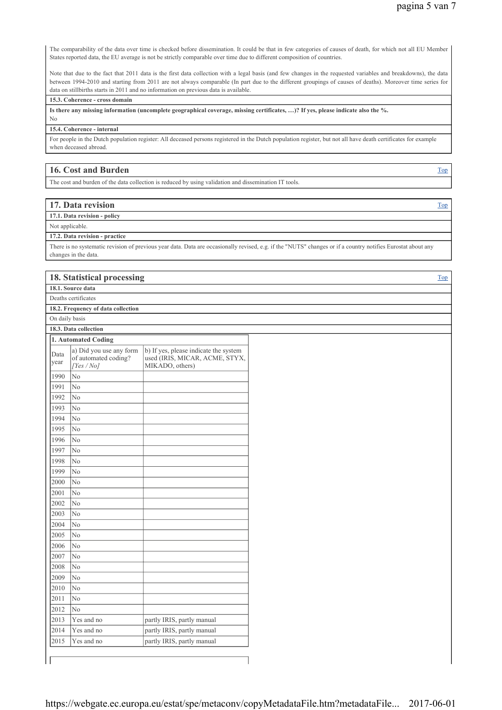The comparability of the data over time is checked before dissemination. It could be that in few categories of causes of death, for which not all EU Member States reported data, the EU average is not be strictly comparable over time due to different composition of countries.

Note that due to the fact that 2011 data is the first data collection with a legal basis (and few changes in the requested variables and breakdowns), the data between 1994-2010 and starting from 2011 are not always comparable (In part due to the different groupings of causes of deaths). Moreover time series for data on stillbirths starts in 2011 and no information on previous data is available.

### **15.3. Coherence - cross domain**

**Is there any missing information (uncomplete geographical coverage, missing certificates, …)? If yes, please indicate also the %.**

No

#### **15.4. Coherence - internal**

For people in the Dutch population register: All deceased persons registered in the Dutch population register, but not all have death certificates for example when deceased abroad.

# **16. Cost and Burden** Top **Top**  Top **Top**  Top **Top**  Top **Top**  Top **Top**  Top **Top**  Top **Top**  Top **Top**  Top **Top**  Top **Top**  Top **Top**  Top **Top**  Top **Top**  Top **Top**  Top **Top**  Top **Top**  Top **Top**  Top **Top**  To

The cost and burden of the data collection is reduced by using validation and dissemination IT tools.

| 17. Data revision                                                                                                                                                                                                                                                                                                                                                                                                               | Top |
|---------------------------------------------------------------------------------------------------------------------------------------------------------------------------------------------------------------------------------------------------------------------------------------------------------------------------------------------------------------------------------------------------------------------------------|-----|
| 17.1. Data revision - policy                                                                                                                                                                                                                                                                                                                                                                                                    |     |
| Not applicable.                                                                                                                                                                                                                                                                                                                                                                                                                 |     |
| $\mathbf{a} = \mathbf{a} \cdot \mathbf{n}$ , $\mathbf{a} = \mathbf{a} \cdot \mathbf{n}$ , $\mathbf{a} = \mathbf{a} \cdot \mathbf{n}$ , $\mathbf{a} = \mathbf{a} \cdot \mathbf{n}$ , $\mathbf{a} = \mathbf{a} \cdot \mathbf{n}$ , $\mathbf{a} = \mathbf{a} \cdot \mathbf{n}$ , $\mathbf{a} = \mathbf{a} \cdot \mathbf{n}$ , $\mathbf{a} = \mathbf{a} \cdot \mathbf{n}$ , $\mathbf{a} = \mathbf{a} \cdot \mathbf{n}$ , $\mathbf{$ |     |

**17.2. Data revision - practice**

There is no systematic revision of previous year data. Data are occasionally revised, e.g. if the "NUTS" changes or if a country notifies Eurostat about any changes in the data.

## **18. Statistical processing** Top

**18.1. Source data** Deaths certificates

**18.2. Frequency of data collection**

On daily basis

**18.3. Data collection**

|              | 1. Automated Coding                                         |                                                                                            |
|--------------|-------------------------------------------------------------|--------------------------------------------------------------------------------------------|
| Data<br>vear | a) Did you use any form<br>of automated coding?<br>[Yes/No] | b) If yes, please indicate the system<br>used (IRIS, MICAR, ACME, STYX,<br>MIKADO, others) |
| 1990         | N <sub>0</sub>                                              |                                                                                            |
| 1991         | N <sub>0</sub>                                              |                                                                                            |
| 1992         | N <sub>o</sub>                                              |                                                                                            |
| 1993         | No                                                          |                                                                                            |
| 1994         | N <sub>0</sub>                                              |                                                                                            |
| 1995         | N <sub>o</sub>                                              |                                                                                            |
| 1996         | No                                                          |                                                                                            |
| 1997         | N <sub>0</sub>                                              |                                                                                            |
| 1998         | N <sub>0</sub>                                              |                                                                                            |
| 1999         | No                                                          |                                                                                            |
| 2000         | N <sub>o</sub>                                              |                                                                                            |
| 2001         | N <sub>0</sub>                                              |                                                                                            |
| 2002         | No                                                          |                                                                                            |
| 2003         | No                                                          |                                                                                            |
| 2004         | N <sub>0</sub>                                              |                                                                                            |
| 2005         | N <sub>0</sub>                                              |                                                                                            |
| 2006         | N <sub>0</sub>                                              |                                                                                            |
| 2007         | No                                                          |                                                                                            |
| 2008         | N <sub>0</sub>                                              |                                                                                            |
| 2009         | N <sub>o</sub>                                              |                                                                                            |
| 2010         | No                                                          |                                                                                            |
| 2011         | N <sub>0</sub>                                              |                                                                                            |
| 2012         | No                                                          |                                                                                            |
| 2013         | Yes and no                                                  | partly IRIS, partly manual                                                                 |
| 2014         | Yes and no                                                  | partly IRIS, partly manual                                                                 |
| 2015         | Yes and no                                                  | partly IRIS, partly manual                                                                 |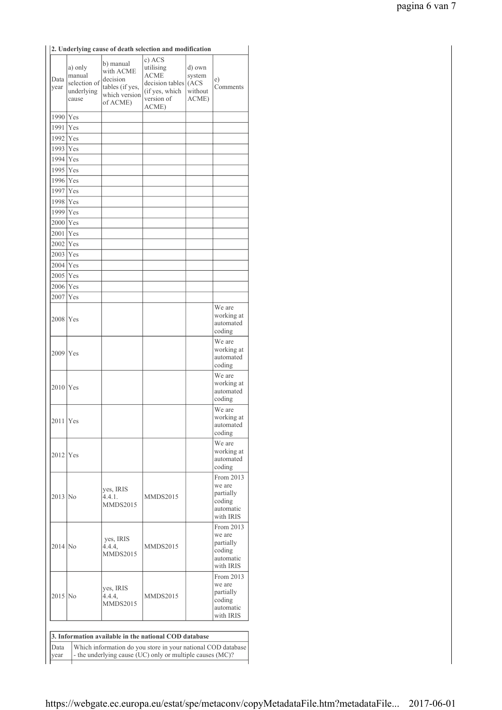|                                                                                                                                           |                                                          |                                                                                    | 2. Underlying cause of death selection and modification                                        |                                              |                                                                      |
|-------------------------------------------------------------------------------------------------------------------------------------------|----------------------------------------------------------|------------------------------------------------------------------------------------|------------------------------------------------------------------------------------------------|----------------------------------------------|----------------------------------------------------------------------|
| Data<br>year                                                                                                                              | a) only<br>manual<br>selection of<br>underlying<br>cause | b) manual<br>with ACME<br>decision<br>tables (if yes,<br>which version<br>of ACME) | c) ACS<br>utilising<br><b>ACME</b><br>decision tables<br>(if yes, which<br>version of<br>ACME) | d) own<br>system<br>(ACS<br>without<br>ACME) | e)<br>Comments                                                       |
| 1990                                                                                                                                      | <b>Yes</b>                                               |                                                                                    |                                                                                                |                                              |                                                                      |
| 1991                                                                                                                                      | Yes                                                      |                                                                                    |                                                                                                |                                              |                                                                      |
|                                                                                                                                           |                                                          |                                                                                    |                                                                                                |                                              |                                                                      |
| 1992<br>1993                                                                                                                              | Yes                                                      |                                                                                    |                                                                                                |                                              |                                                                      |
|                                                                                                                                           | Yes                                                      |                                                                                    |                                                                                                |                                              |                                                                      |
| 1994 Yes                                                                                                                                  |                                                          |                                                                                    |                                                                                                |                                              |                                                                      |
| 1995 Yes                                                                                                                                  |                                                          |                                                                                    |                                                                                                |                                              |                                                                      |
| $1996$ Yes                                                                                                                                |                                                          |                                                                                    |                                                                                                |                                              |                                                                      |
| 1997                                                                                                                                      | Yes                                                      |                                                                                    |                                                                                                |                                              |                                                                      |
| 1998 Yes                                                                                                                                  |                                                          |                                                                                    |                                                                                                |                                              |                                                                      |
| 1999 Yes                                                                                                                                  |                                                          |                                                                                    |                                                                                                |                                              |                                                                      |
| 2000 Yes                                                                                                                                  |                                                          |                                                                                    |                                                                                                |                                              |                                                                      |
| 2001                                                                                                                                      | Yes                                                      |                                                                                    |                                                                                                |                                              |                                                                      |
| 2002                                                                                                                                      | Yes                                                      |                                                                                    |                                                                                                |                                              |                                                                      |
| 2003   Yes                                                                                                                                |                                                          |                                                                                    |                                                                                                |                                              |                                                                      |
| $2004$ Yes                                                                                                                                |                                                          |                                                                                    |                                                                                                |                                              |                                                                      |
| 2005 Yes                                                                                                                                  |                                                          |                                                                                    |                                                                                                |                                              |                                                                      |
| 2006 Yes                                                                                                                                  |                                                          |                                                                                    |                                                                                                |                                              |                                                                      |
| 2007                                                                                                                                      | Yes                                                      |                                                                                    |                                                                                                |                                              |                                                                      |
|                                                                                                                                           |                                                          |                                                                                    |                                                                                                |                                              | We are                                                               |
| 2008   Yes                                                                                                                                |                                                          |                                                                                    |                                                                                                |                                              | working at<br>automated<br>coding                                    |
| 2009 Yes                                                                                                                                  |                                                          |                                                                                    |                                                                                                |                                              | We are<br>working at<br>automated<br>coding                          |
| $2010$ Yes                                                                                                                                |                                                          |                                                                                    |                                                                                                |                                              | We are<br>working at<br>automated<br>coding                          |
| $2011$ Yes                                                                                                                                |                                                          |                                                                                    |                                                                                                |                                              | We are<br>working at<br>automated<br>coding                          |
| $2012$ Yes                                                                                                                                |                                                          |                                                                                    |                                                                                                |                                              | We are<br>working at<br>automated<br>coding                          |
| $2013$ No                                                                                                                                 |                                                          | yes, IRIS<br>4.4.1.<br><b>MMDS2015</b>                                             | <b>MMDS2015</b>                                                                                |                                              | From 2013<br>we are<br>partially<br>coding<br>automatic<br>with IRIS |
| $2014$ No                                                                                                                                 |                                                          | yes, IRIS<br>4.4.4,<br><b>MMDS2015</b>                                             | <b>MMDS2015</b>                                                                                |                                              | From 2013<br>we are<br>partially<br>coding<br>automatic<br>with IRIS |
| $2015$ No                                                                                                                                 |                                                          | yes, IRIS<br>4.4.4.<br><b>MMDS2015</b>                                             | <b>MMDS2015</b>                                                                                |                                              | From 2013<br>we are<br>partially<br>coding<br>automatic<br>with IRIS |
|                                                                                                                                           |                                                          |                                                                                    |                                                                                                |                                              |                                                                      |
| 3. Information available in the national COD database                                                                                     |                                                          |                                                                                    |                                                                                                |                                              |                                                                      |
| Which information do you store in your national COD database<br>Data<br>- the underlying cause (UC) only or multiple causes (MC)?<br>year |                                                          |                                                                                    |                                                                                                |                                              |                                                                      |